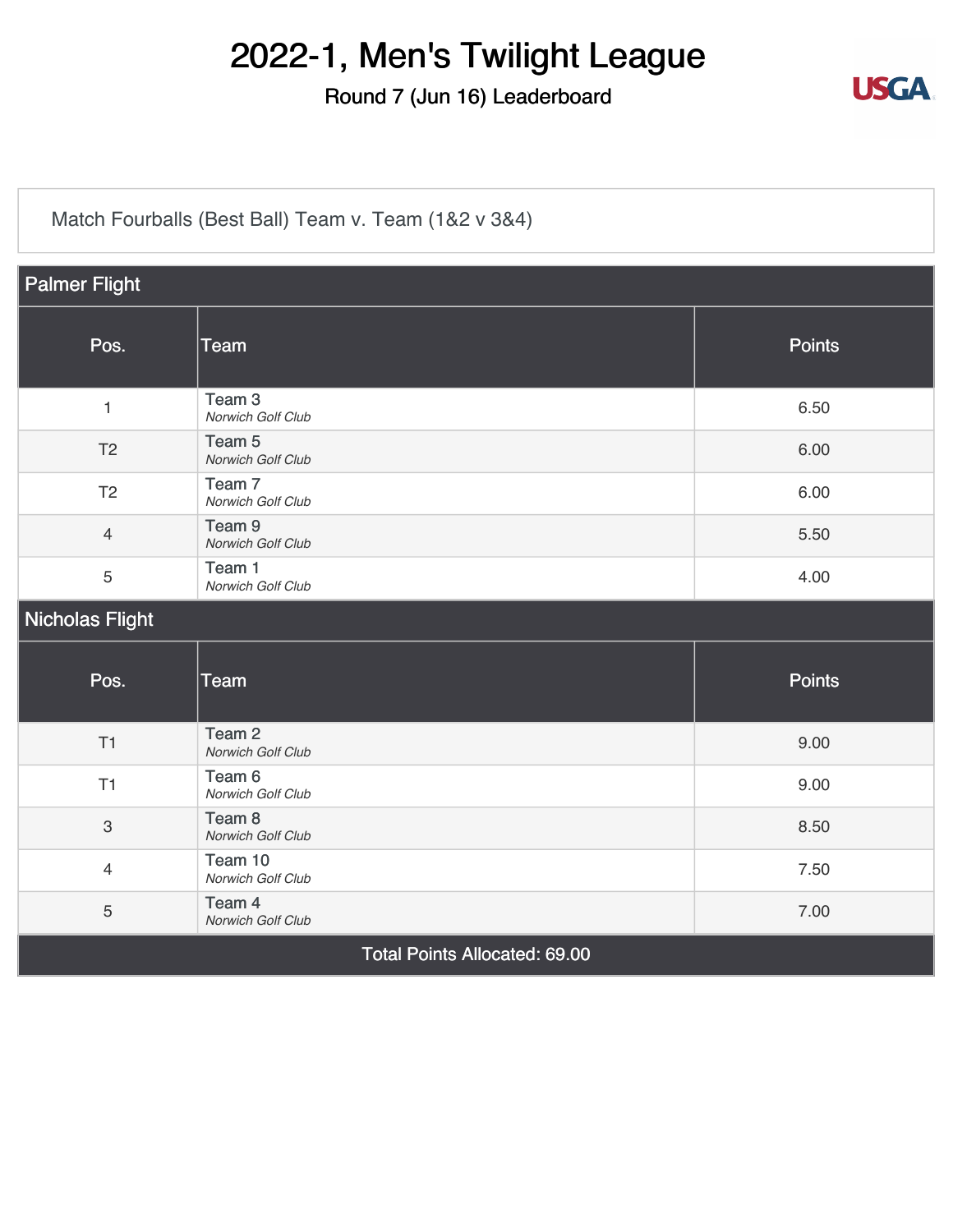#### Round 7 (Jun 16) Leaderboard



[Match Fourballs \(Best Ball\) Team v. Team \(1&2 v 3&4\)](https://static.golfgenius.com/v2tournaments/8326500825769738993?called_from=&round_index=7)

| <b>Palmer Flight</b>                 |                                        |               |  |  |
|--------------------------------------|----------------------------------------|---------------|--|--|
| Pos.                                 | Team                                   | <b>Points</b> |  |  |
| $\mathbf{1}$                         | Team <sub>3</sub><br>Norwich Golf Club | 6.50          |  |  |
| T <sub>2</sub>                       | Team <sub>5</sub><br>Norwich Golf Club | 6.00          |  |  |
| T <sub>2</sub>                       | Team <sub>7</sub><br>Norwich Golf Club | 6.00          |  |  |
| $\overline{4}$                       | Team <sub>9</sub><br>Norwich Golf Club | 5.50          |  |  |
| 5                                    | Team 1<br>Norwich Golf Club            | 4.00          |  |  |
| <b>Nicholas Flight</b>               |                                        |               |  |  |
| Pos.                                 | <b>Team</b>                            | <b>Points</b> |  |  |
| T1                                   | Team <sub>2</sub><br>Norwich Golf Club | 9.00          |  |  |
| T1                                   | Team 6<br>Norwich Golf Club            | 9.00          |  |  |
| $\sqrt{3}$                           | Team 8<br>Norwich Golf Club            | 8.50          |  |  |
| $\overline{4}$                       | Team 10<br>Norwich Golf Club           | 7.50          |  |  |
| 5                                    | Team 4<br>Norwich Golf Club            | 7.00          |  |  |
| <b>Total Points Allocated: 69.00</b> |                                        |               |  |  |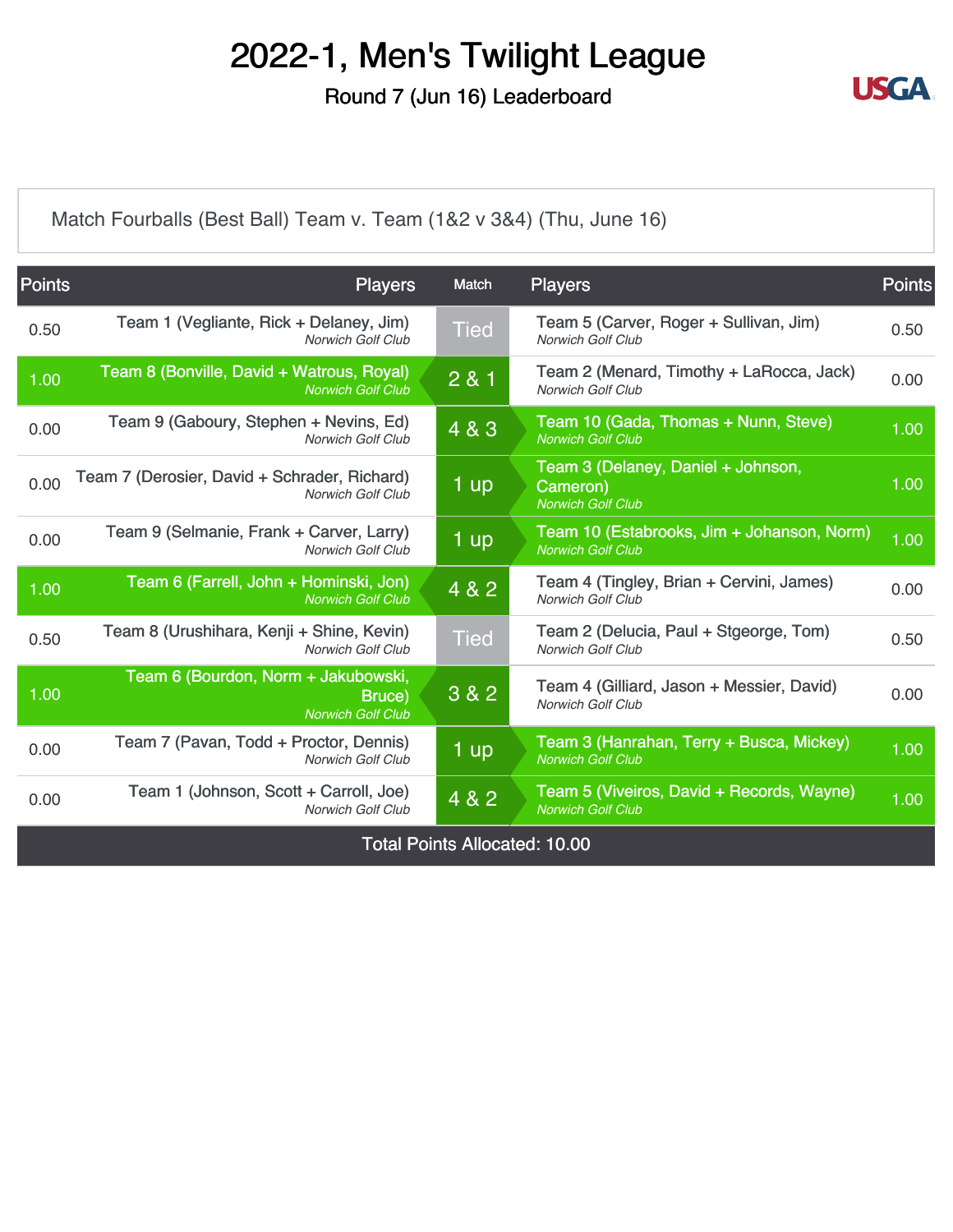Round 7 (Jun 16) Leaderboard



[Match Fourballs \(Best Ball\) Team v. Team \(1&2 v 3&4\) \(Thu, June 16\)](https://static.golfgenius.com/v2tournaments/8326500843822023416?called_from=&round_index=7)

| <b>Points</b>                        | <b>Players</b>                                                            | Match           | <b>Players</b>                                                             | <b>Points</b> |
|--------------------------------------|---------------------------------------------------------------------------|-----------------|----------------------------------------------------------------------------|---------------|
| 0.50                                 | Team 1 (Vegliante, Rick + Delaney, Jim)<br><b>Norwich Golf Club</b>       | <b>Tied</b>     | Team 5 (Carver, Roger + Sullivan, Jim)<br><b>Norwich Golf Club</b>         | 0.50          |
| 1.00                                 | Team 8 (Bonville, David + Watrous, Royal)<br><b>Norwich Golf Club</b>     | 2 & 1           | Team 2 (Menard, Timothy + LaRocca, Jack)<br>Norwich Golf Club              | 0.00          |
| 0.00                                 | Team 9 (Gaboury, Stephen + Nevins, Ed)<br><b>Norwich Golf Club</b>        | 4 & 3           | Team 10 (Gada, Thomas + Nunn, Steve)<br><b>Norwich Golf Club</b>           | 1.00          |
| 0.00                                 | Team 7 (Derosier, David + Schrader, Richard)<br><b>Norwich Golf Club</b>  | 1 <sub>up</sub> | Team 3 (Delaney, Daniel + Johnson,<br>Cameron)<br><b>Norwich Golf Club</b> | 1.00          |
| 0.00                                 | Team 9 (Selmanie, Frank + Carver, Larry)<br>Norwich Golf Club             | 1 up            | Team 10 (Estabrooks, Jim + Johanson, Norm)<br><b>Norwich Golf Club</b>     | 1.00          |
| 1.00                                 | Team 6 (Farrell, John + Hominski, Jon)<br><b>Norwich Golf Club</b>        | 4 & 2           | Team 4 (Tingley, Brian + Cervini, James)<br><b>Norwich Golf Club</b>       | 0.00          |
| 0.50                                 | Team 8 (Urushihara, Kenji + Shine, Kevin)<br><b>Norwich Golf Club</b>     | <b>Tied</b>     | Team 2 (Delucia, Paul + Stgeorge, Tom)<br><b>Norwich Golf Club</b>         | 0.50          |
| 1.00                                 | Team 6 (Bourdon, Norm + Jakubowski,<br>Bruce)<br><b>Norwich Golf Club</b> | 3 & 2           | Team 4 (Gilliard, Jason + Messier, David)<br><b>Norwich Golf Club</b>      | 0.00          |
| 0.00                                 | Team 7 (Pavan, Todd + Proctor, Dennis)<br><b>Norwich Golf Club</b>        | 1 up            | Team 3 (Hanrahan, Terry + Busca, Mickey)<br><b>Norwich Golf Club</b>       | 1.00          |
| 0.00                                 | Team 1 (Johnson, Scott + Carroll, Joe)<br><b>Norwich Golf Club</b>        | 4 & 2           | Team 5 (Viveiros, David + Records, Wayne)<br><b>Norwich Golf Club</b>      | 1.00          |
| <b>Total Points Allocated: 10.00</b> |                                                                           |                 |                                                                            |               |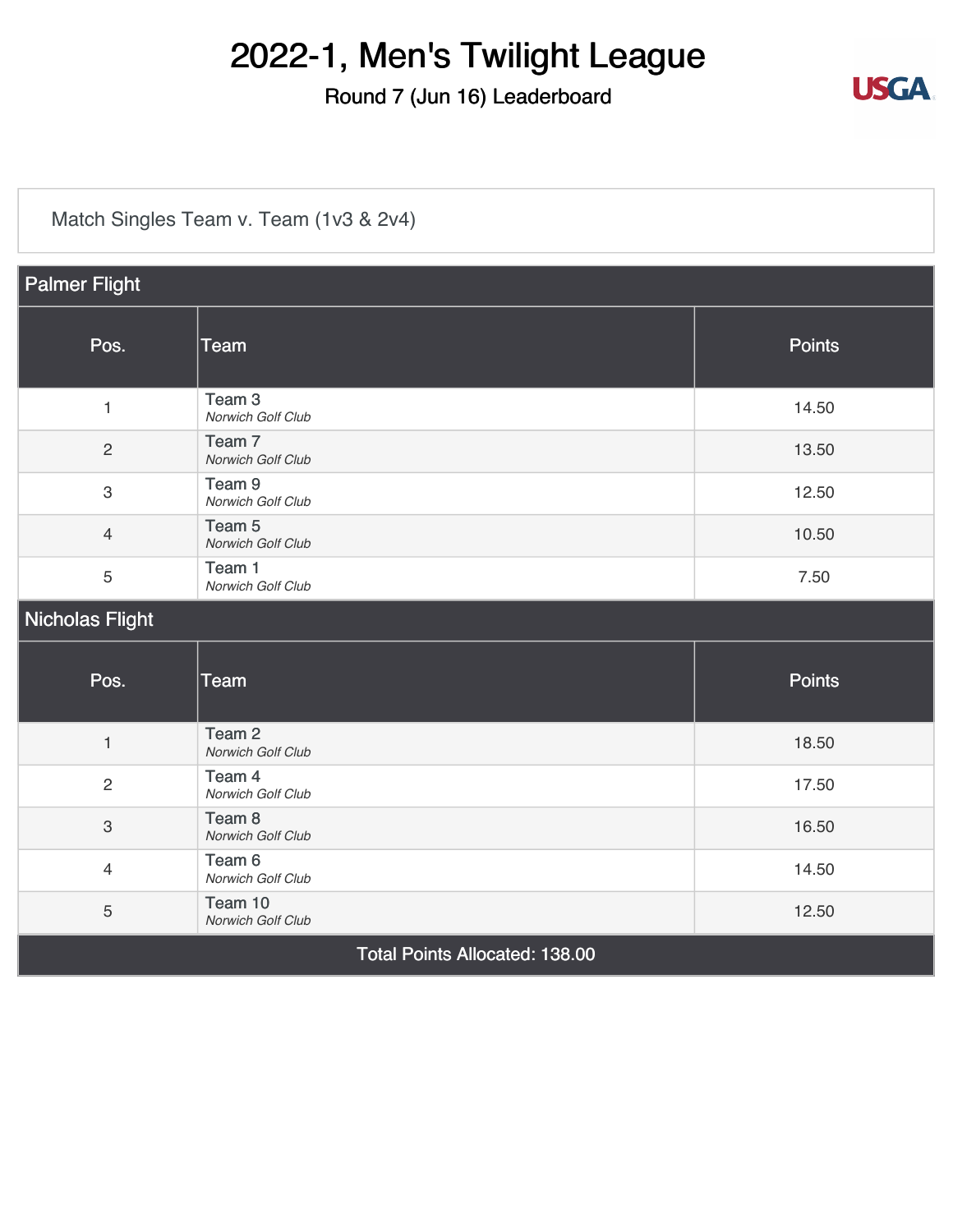#### Round 7 (Jun 16) Leaderboard



[Match Singles Team v. Team \(1v3 & 2v4\)](https://static.golfgenius.com/v2tournaments/8326500891972633342?called_from=&round_index=7)

| <b>Palmer Flight</b>           |                                        |               |  |
|--------------------------------|----------------------------------------|---------------|--|
| Pos.                           | <b>Team</b>                            | <b>Points</b> |  |
| $\mathbf{1}$                   | Team <sub>3</sub><br>Norwich Golf Club | 14.50         |  |
| $\overline{2}$                 | Team <sub>7</sub><br>Norwich Golf Club | 13.50         |  |
| $\mathbf{3}$                   | Team <sub>9</sub><br>Norwich Golf Club | 12.50         |  |
| $\overline{4}$                 | Team 5<br>Norwich Golf Club            | 10.50         |  |
| 5                              | Team 1<br>Norwich Golf Club            | 7.50          |  |
| <b>Nicholas Flight</b>         |                                        |               |  |
| Pos.                           | <b>Team</b>                            | <b>Points</b> |  |
| $\mathbf{1}$                   | Team <sub>2</sub><br>Norwich Golf Club | 18.50         |  |
| $\mathbf{2}$                   | Team 4<br>Norwich Golf Club            | 17.50         |  |
| $\mathbf{3}$                   | Team <sub>8</sub><br>Norwich Golf Club | 16.50         |  |
| $\overline{4}$                 | Team 6<br>Norwich Golf Club            | 14.50         |  |
| $\mathbf 5$                    | Team 10<br>Norwich Golf Club           | 12.50         |  |
| Total Points Allocated: 138.00 |                                        |               |  |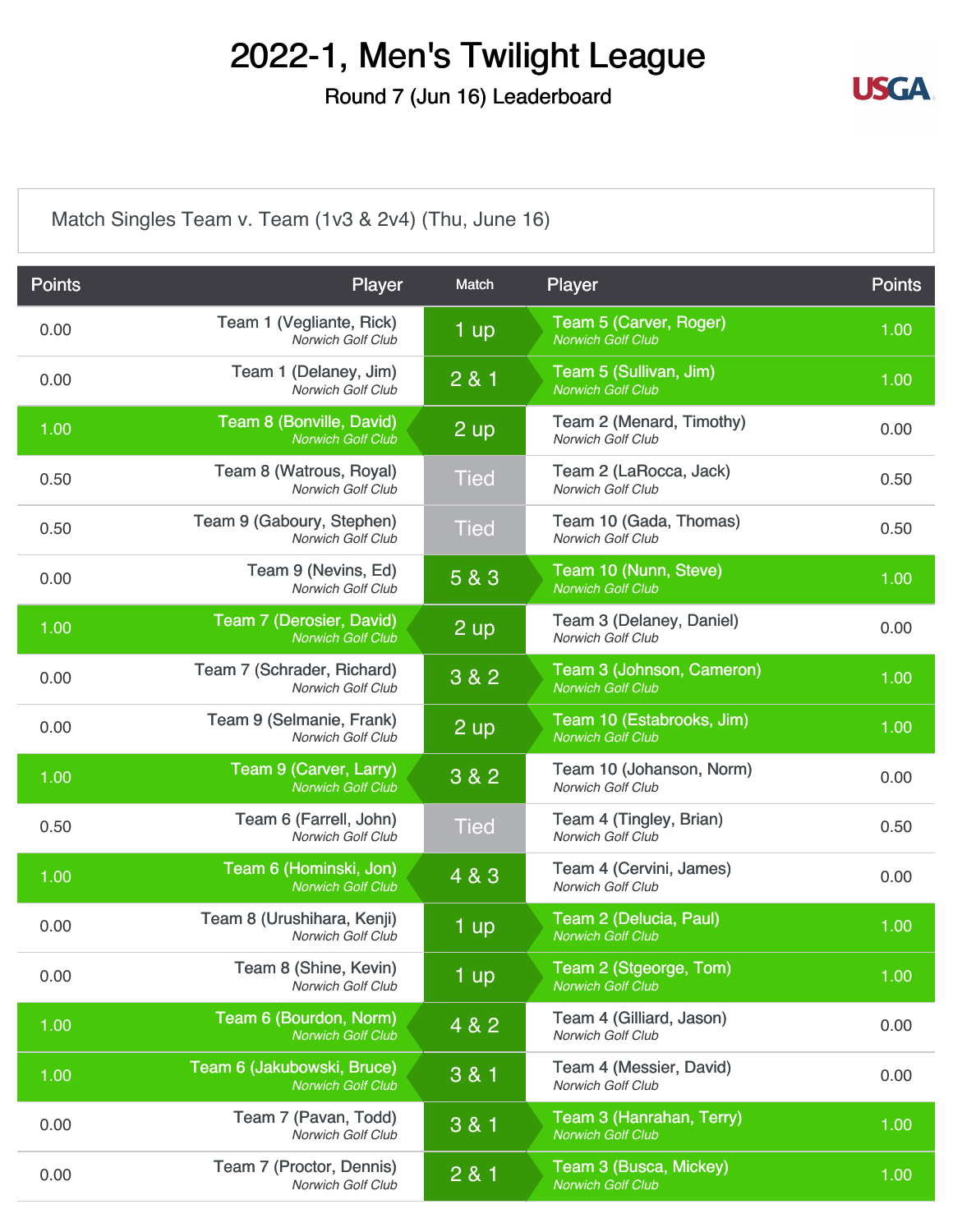Round 7 (Jun 16) Leaderboard



[Match Singles Team v. Team \(1v3 & 2v4\) \(Thu, June 16\)](https://static.golfgenius.com/v2tournaments/8326500910461125381?called_from=&round_index=7)

| <b>Points</b> | Player                                                 | Match          | Player                                                | <b>Points</b> |
|---------------|--------------------------------------------------------|----------------|-------------------------------------------------------|---------------|
| 0.00          | Team 1 (Vegliante, Rick)<br>Norwich Golf Club          | 1 up           | Team 5 (Carver, Roger)<br><b>Norwich Golf Club</b>    | 1.00          |
| 0.00          | Team 1 (Delaney, Jim)<br>Norwich Golf Club             | 281            | Team 5 (Sullivan, Jim)<br><b>Norwich Golf Club</b>    | 1.00          |
| 1.00          | Team 8 (Bonville, David)<br><b>Norwich Golf Club</b>   | $2$ up         | Team 2 (Menard, Timothy)<br>Norwich Golf Club         | 0.00          |
| 0.50          | Team 8 (Watrous, Royal)<br><b>Norwich Golf Club</b>    | <b>Tied</b>    | Team 2 (LaRocca, Jack)<br>Norwich Golf Club           | 0.50          |
| 0.50          | Team 9 (Gaboury, Stephen)<br><b>Norwich Golf Club</b>  | <b>Tied</b>    | Team 10 (Gada, Thomas)<br>Norwich Golf Club           | 0.50          |
| 0.00          | Team 9 (Nevins, Ed)<br><b>Norwich Golf Club</b>        | 5 & 3          | Team 10 (Nunn, Steve)<br><b>Norwich Golf Club</b>     | 1.00          |
| 1.00          | Team 7 (Derosier, David)<br><b>Norwich Golf Club</b>   | $2 \text{ up}$ | Team 3 (Delaney, Daniel)<br>Norwich Golf Club         | 0.00          |
| 0.00          | Team 7 (Schrader, Richard)<br>Norwich Golf Club        | 3 & 2          | Team 3 (Johnson, Cameron)<br><b>Norwich Golf Club</b> | 1.00          |
| 0.00          | Team 9 (Selmanie, Frank)<br><b>Norwich Golf Club</b>   | 2 up           | Team 10 (Estabrooks, Jim)<br><b>Norwich Golf Club</b> | 1.00          |
| 1.00          | Team 9 (Carver, Larry)<br><b>Norwich Golf Club</b>     | 3 & 2          | Team 10 (Johanson, Norm)<br>Norwich Golf Club         | 0.00          |
| 0.50          | Team 6 (Farrell, John)<br>Norwich Golf Club            | <b>Tied</b>    | Team 4 (Tingley, Brian)<br>Norwich Golf Club          | 0.50          |
| 1.00          | Team 6 (Hominski, Jon)<br><b>Norwich Golf Club</b>     | 4 & 3          | Team 4 (Cervini, James)<br>Norwich Golf Club          | 0.00          |
| 0.00          | Team 8 (Urushihara, Kenji)<br><b>Norwich Golf Club</b> | 1 up           | Team 2 (Delucia, Paul)<br><b>Norwich Golf Club</b>    | 1.00          |
| 0.00          | Team 8 (Shine, Kevin)<br>Norwich Golf Club             | 1 up           | Team 2 (Stgeorge, Tom)<br>Norwich Golf Club           | 1.00          |
| 1.00          | Team 6 (Bourdon, Norm)<br><b>Norwich Golf Club</b>     | 4 & 2          | Team 4 (Gilliard, Jason)<br>Norwich Golf Club         | 0.00          |
| 1.00          | Team 6 (Jakubowski, Bruce)<br><b>Norwich Golf Club</b> | 3 & 1          | Team 4 (Messier, David)<br>Norwich Golf Club          | 0.00          |
| 0.00          | Team 7 (Pavan, Todd)<br>Norwich Golf Club              | 3 & 1          | Team 3 (Hanrahan, Terry)<br><b>Norwich Golf Club</b>  | 1.00          |
| 0.00          | Team 7 (Proctor, Dennis)<br>Norwich Golf Club          | 2 & 1          | Team 3 (Busca, Mickey)<br>Norwich Golf Club           | 1.00          |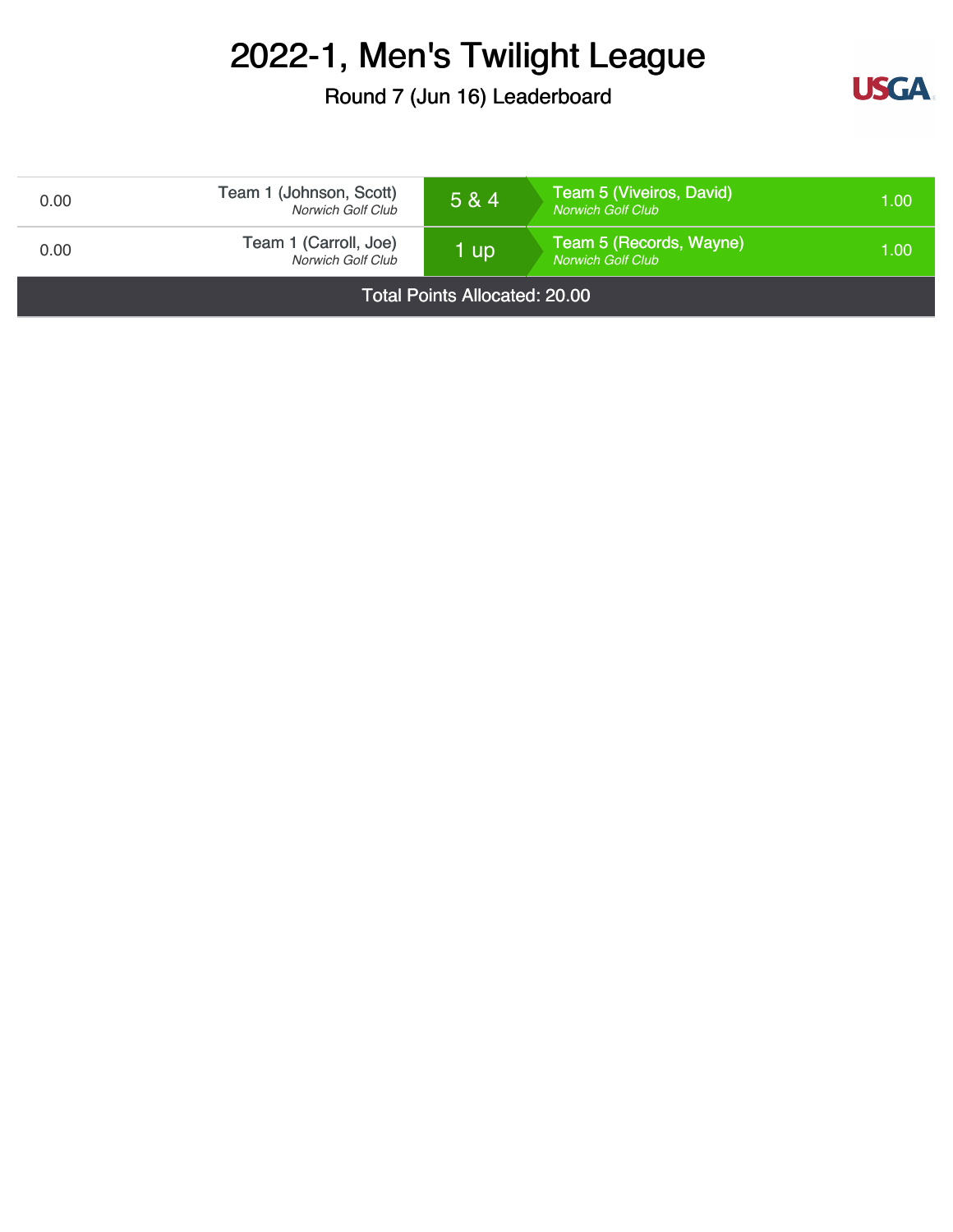Round 7 (Jun 16) Leaderboard



| 0.00                                 | Team 1 (Johnson, Scott)<br>Norwich Golf Club | 5 & 4 | Team 5 (Viveiros, David)<br><b>Norwich Golf Club</b> | 1.00 |
|--------------------------------------|----------------------------------------------|-------|------------------------------------------------------|------|
| 0.00                                 | Team 1 (Carroll, Joe)<br>Norwich Golf Club   | 1 up  | Team 5 (Records, Wayne)<br><b>Norwich Golf Club</b>  | 1.00 |
| <b>Total Points Allocated: 20.00</b> |                                              |       |                                                      |      |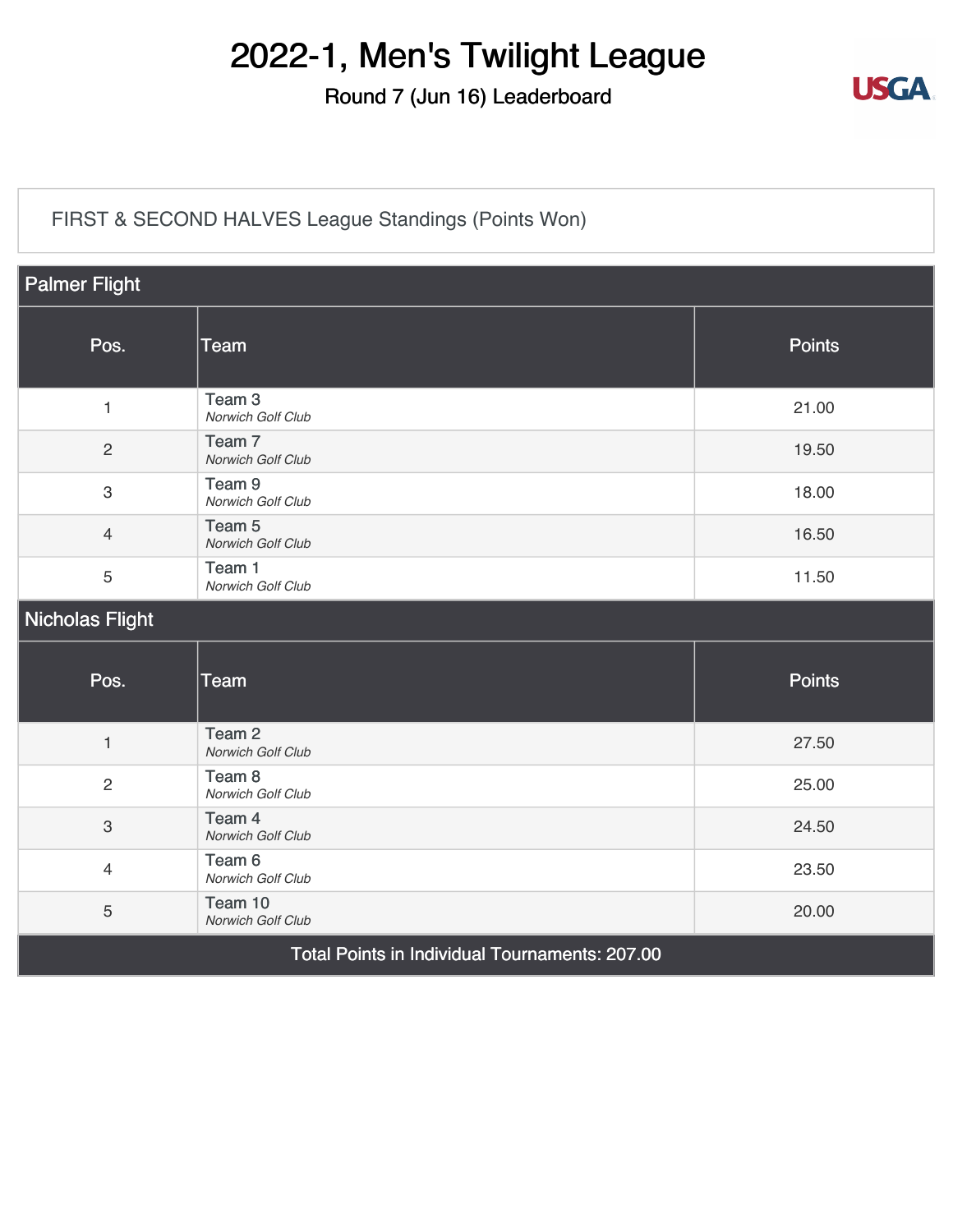#### Round 7 (Jun 16) Leaderboard



#### [FIRST & SECOND HALVES League Standings \(Points Won\)](https://static.golfgenius.com/v2tournaments/8326500939955471116?called_from=&round_index=7)

| <b>Palmer Flight</b>                           |                                        |               |  |  |
|------------------------------------------------|----------------------------------------|---------------|--|--|
| Pos.                                           | <b>Team</b>                            | <b>Points</b> |  |  |
| $\mathbf{1}$                                   | Team <sub>3</sub><br>Norwich Golf Club | 21.00         |  |  |
| $\overline{2}$                                 | Team <sub>7</sub><br>Norwich Golf Club | 19.50         |  |  |
| $\sqrt{3}$                                     | Team <sub>9</sub><br>Norwich Golf Club | 18.00         |  |  |
| $\overline{4}$                                 | Team <sub>5</sub><br>Norwich Golf Club | 16.50         |  |  |
| 5                                              | Team 1<br>Norwich Golf Club            | 11.50         |  |  |
| Nicholas Flight                                |                                        |               |  |  |
| Pos.                                           | <b>Team</b>                            | <b>Points</b> |  |  |
| $\mathbf{1}$                                   | Team <sub>2</sub><br>Norwich Golf Club | 27.50         |  |  |
| 2                                              | Team <sub>8</sub><br>Norwich Golf Club | 25.00         |  |  |
| $\mathfrak{S}$                                 | Team 4<br>Norwich Golf Club            | 24.50         |  |  |
| $\overline{4}$                                 | Team <sub>6</sub><br>Norwich Golf Club | 23.50         |  |  |
| 5                                              | Team 10<br>Norwich Golf Club           | 20.00         |  |  |
| Total Points in Individual Tournaments: 207.00 |                                        |               |  |  |